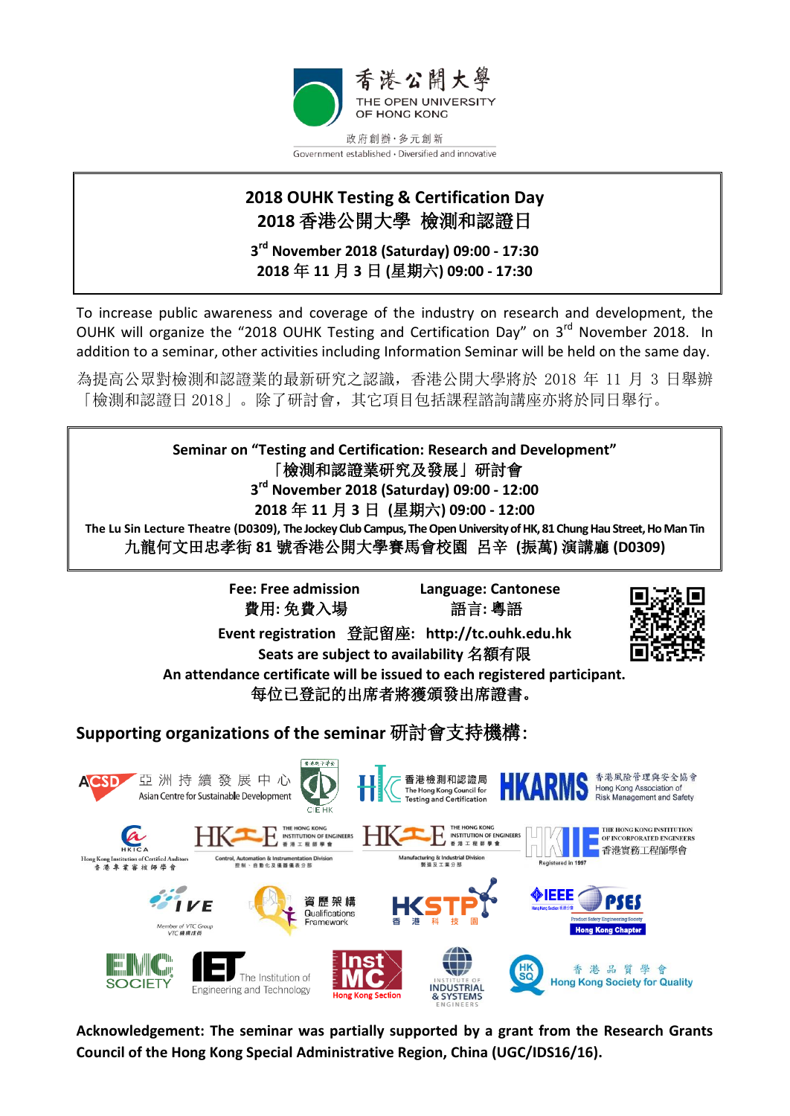

## **2018 OUHK Testing & Certification Day 2018** 香港公開大學 檢測和認證日

**3 rd November 2018 (Saturday) 09:00 - 17:30 2018** 年 **11** 月 **3** 日 **(**星期六**) 09:00 - 17:30**

To increase public awareness and coverage of the industry on research and development, the OUHK will organize the "2018 OUHK Testing and Certification Day" on 3<sup>rd</sup> November 2018. In addition to a seminar, other activities including Information Seminar will be held on the same day.

為提高公眾對檢測和認證業的最新研究之認識,香港公開大學將於 2018 年 11 月 3 日舉辦 「檢測和認證日 2018」。除了研討會,其它項目包括課程諮詢講座亦將於同日舉行。

**Seminar on "Testing and Certification: Research and Development"** 「檢測和認證業研究及發展」研討會 **3 rd November 2018 (Saturday) 09:00 - 12:00 2018** 年 **11** 月 **3** 日 **(**星期六**) 09:00 - 12:00 The Lu Sin Lecture Theatre (D0309), The Jockey Club Campus, The Open University of HK, 81 Chung Hau Street, Ho Man Tin** 九龍何文田忠孝街 **81** 號香港公開大學賽馬會校園 呂辛 **(**振萬**)** 演講廳 **(D0309)**

> **Fee: Free admission Language: Cantonese** 費用**:** 免費入場 語言**:** 粵語

**Event registration** 登記留座**: http://tc.ouhk.edu.hk Seats are subject to availability** 名額有限



**An attendance certificate will be issued to each registered participant.**  每位已登記的出席者將獲頒發出席證書。

**Supporting organizations of the seminar** 研討會支持機構:



**Acknowledgement: The seminar was partially supported by a grant from the Research Grants Council of the Hong Kong Special Administrative Region, China (UGC/IDS16/16).**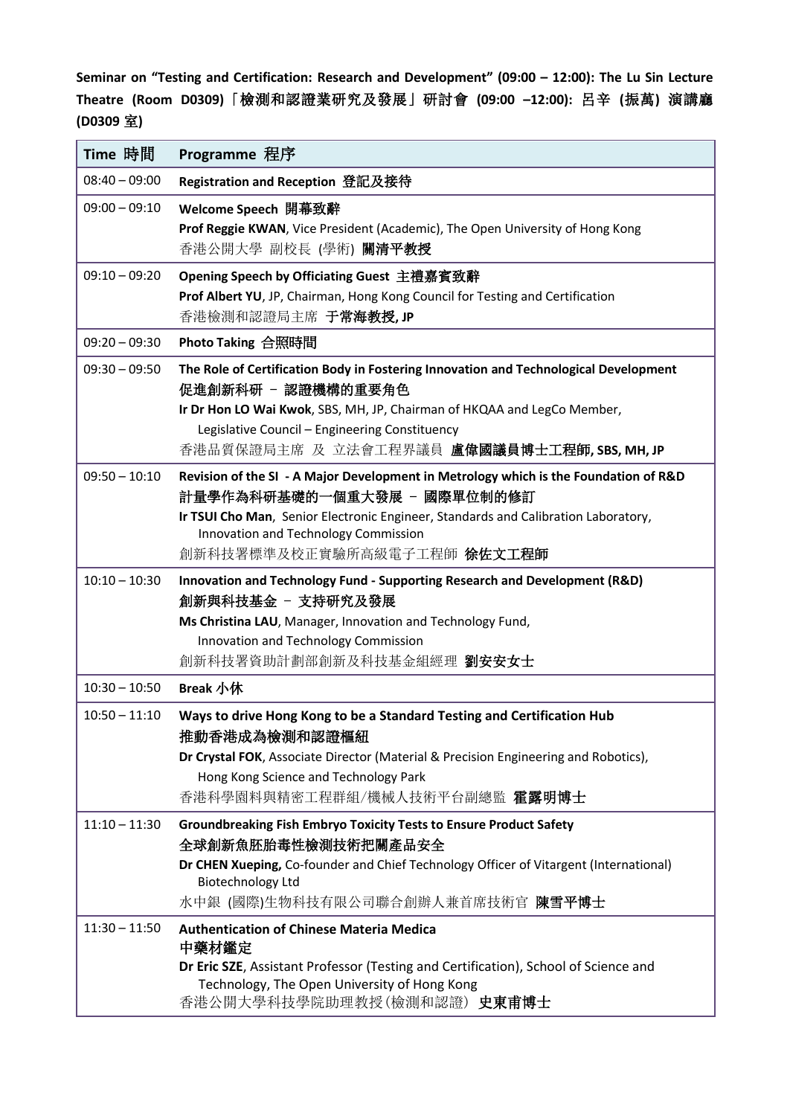**Seminar on "Testing and Certification: Research and Development" (09:00 – 12:00): The Lu Sin Lecture Theatre (Room D0309)**「檢測和認證業研究及發展」研討會 **(09:00 –12:00):** 呂辛 **(**振萬**)** 演講廳 **(D0309** 室**)**

| Time 時間         | Programme 程序                                                                                                                                                                                                                                                                            |
|-----------------|-----------------------------------------------------------------------------------------------------------------------------------------------------------------------------------------------------------------------------------------------------------------------------------------|
| $08:40 - 09:00$ | Registration and Reception 登記及接待                                                                                                                                                                                                                                                        |
| $09:00 - 09:10$ | Welcome Speech 開幕致辭<br>Prof Reggie KWAN, Vice President (Academic), The Open University of Hong Kong<br>香港公開大學 副校長 (學術) <b>關清平教授</b>                                                                                                                                                    |
| $09:10 - 09:20$ | Opening Speech by Officiating Guest 主禮嘉賓致辭<br>Prof Albert YU, JP, Chairman, Hong Kong Council for Testing and Certification<br>香港檢測和認證局主席 于常海教授, JP                                                                                                                                     |
| $09:20 - 09:30$ | Photo Taking 合照時間                                                                                                                                                                                                                                                                       |
| $09:30 - 09:50$ | The Role of Certification Body in Fostering Innovation and Technological Development<br>促進創新科研 - 認證機構的重要角色<br>Ir Dr Hon LO Wai Kwok, SBS, MH, JP, Chairman of HKQAA and LegCo Member,<br>Legislative Council - Engineering Constituency<br>香港品質保證局主席 及 立法會工程界議員 盧偉國議員博士工程師, SBS, MH, JP |
| $09:50 - 10:10$ | Revision of the SI - A Major Development in Metrology which is the Foundation of R&D<br>計量學作為科研基礎的一個重大發展 - 國際單位制的修訂<br>Ir TSUI Cho Man, Senior Electronic Engineer, Standards and Calibration Laboratory,<br>Innovation and Technology Commission<br>創新科技署標準及校正實驗所高級電子工程師 徐佐文工程師        |
| $10:10 - 10:30$ | Innovation and Technology Fund - Supporting Research and Development (R&D)<br>創新與科技基金 - 支持研究及發展<br>Ms Christina LAU, Manager, Innovation and Technology Fund,<br>Innovation and Technology Commission<br>創新科技署資助計劃部創新及科技基金組經理 劉安安女士                                                     |
| $10:30 - 10:50$ | Break 小休                                                                                                                                                                                                                                                                                |
| $10:50 - 11:10$ | Ways to drive Hong Kong to be a Standard Testing and Certification Hub<br>推動香港成為檢測和認證樞紐<br>Dr Crystal FOK, Associate Director (Material & Precision Engineering and Robotics),<br>Hong Kong Science and Technology Park<br>香港科學園料與精密工程群組/機械人技術平台副總監 <b>霍露明博士</b>                        |
| $11:10 - 11:30$ | <b>Groundbreaking Fish Embryo Toxicity Tests to Ensure Product Safety</b><br>全球創新魚胚胎毒性檢測技術把關產品安全<br>Dr CHEN Xueping, Co-founder and Chief Technology Officer of Vitargent (International)<br><b>Biotechnology Ltd</b><br>水中銀 (國際)生物科技有限公司聯合創辦人兼首席技術官 陳雪平博士                              |
| $11:30 - 11:50$ | <b>Authentication of Chinese Materia Medica</b><br>中藥材鑑定<br>Dr Eric SZE, Assistant Professor (Testing and Certification), School of Science and<br>Technology, The Open University of Hong Kong<br>香港公開大學科技學院助理教授(檢測和認證) 史東甫博士                                                          |